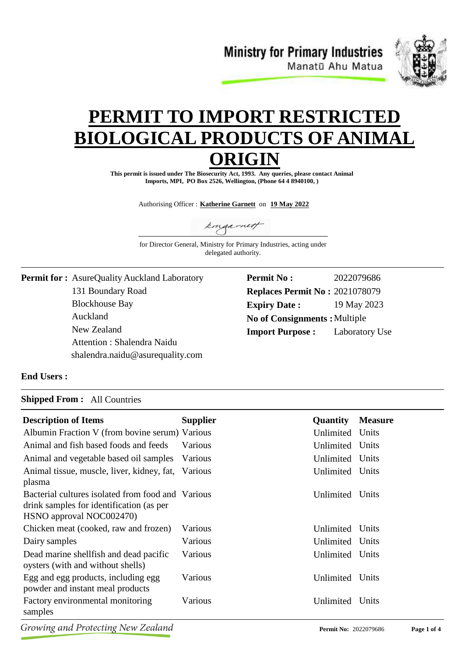**Ministry for Primary Industries** Manatū Ahu Matua



# **PERMIT TO IMPORT RESTRICTE BIOLOGICAL PRODUCTS OF ANIM ORIGIN**

**This permit is issued under The Biosecurity Act, 1993. Any queries, please contact Animal Imports, MPI, PO Box 2526, Wellington, (Phone 64 4 8940100, )**

Authorising Officer : **Katherine Garnett** on **19 May 2022**

kingarnett

for Director General, Ministry for Primary Industries, acting under delegated authority.

131 Boundary Road Blockhouse Bay **Permit for :** AsureQuality Auckland Laboratory Auckland New Zealand Attention : Shalendra Naidu shalendra.naidu@asurequality.com

| <b>Permit No :</b>                    | 2022079686     |  |
|---------------------------------------|----------------|--|
| <b>Replaces Permit No: 2021078079</b> |                |  |
| <b>Expiry Date:</b>                   | 19 May 2023    |  |
| <b>No of Consignments: Multiple</b>   |                |  |
| <b>Import Purpose:</b>                | Laboratory Use |  |

### **End Users :**

#### **Shipped From :** All Countries

| <b>Description of Items</b>                       | <b>Supplier</b> | <b>Quantity</b> | <b>Measure</b> |
|---------------------------------------------------|-----------------|-----------------|----------------|
| Albumin Fraction V (from bovine serum) Various    |                 | Unlimited       | Units          |
| Animal and fish based foods and feeds             | Various         | Unlimited       | Units          |
| Animal and vegetable based oil samples            | Various         | Unlimited Units |                |
| Animal tissue, muscle, liver, kidney, fat,        | Various         | Unlimited       | Units          |
| plasma                                            |                 |                 |                |
| Bacterial cultures isolated from food and Various |                 | Unlimited       | Units          |
| drink samples for identification (as per          |                 |                 |                |
| HSNO approval NOC002470)                          |                 |                 |                |
| Chicken meat (cooked, raw and frozen)             | Various         | Unlimited       | Units          |
| Dairy samples                                     | Various         | Unlimited Units |                |
| Dead marine shell fish and dead pacific           | Various         | Unlimited       | Units          |
| oysters (with and without shells)                 |                 |                 |                |
| Egg and egg products, including egg               | Various         | Unlimited       | Units          |
| powder and instant meal products                  |                 |                 |                |
| Factory environmental monitoring                  | Various         | Unlimited       | Units          |
| samples                                           |                 |                 |                |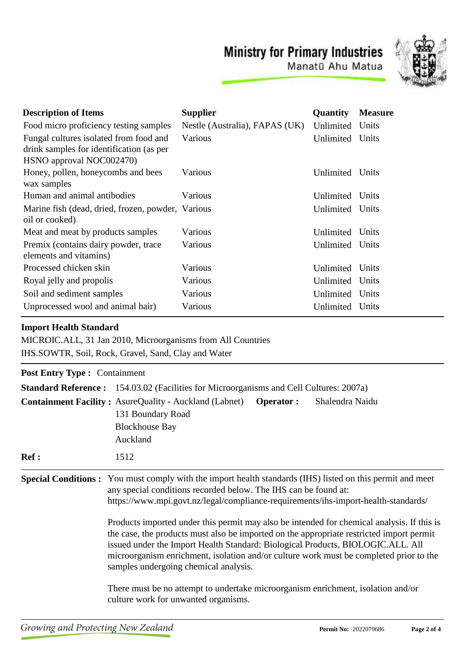## **Ministry for Primary Industries**



Manatū Ahu Matua

| <b>Description of Items</b>                                                                                    | <b>Supplier</b>                | Quantity  | <b>Measure</b> |
|----------------------------------------------------------------------------------------------------------------|--------------------------------|-----------|----------------|
| Food micro proficiency testing samples                                                                         | Nestle (Australia), FAPAS (UK) | Unlimited | Units          |
| Fungal cultures isolated from food and<br>drink samples for identification (as per<br>HSNO approval NOC002470) | Various                        | Unlimited | Units          |
| Honey, pollen, honeycombs and bees<br>wax samples                                                              | Various                        | Unlimited | Units          |
| Human and animal antibodies                                                                                    | Various                        | Unlimited | Units          |
| Marine fish (dead, dried, frozen, powder, Various<br>oil or cooked)                                            |                                | Unlimited | Units          |
| Meat and meat by products samples                                                                              | Various                        | Unlimited | Units          |
| Premix (contains dairy powder, trace<br>elements and vitamins)                                                 | Various                        | Unlimited | Units          |
| Processed chicken skin                                                                                         | Various                        | Unlimited | Units          |
| Royal jelly and propolis                                                                                       | Various                        | Unlimited | Units          |
| Soil and sediment samples                                                                                      | Various                        | Unlimited | Units          |
| Unprocessed wool and animal hair)                                                                              | Various                        | Unlimited | Units          |

### **Import Health Standard**

MICROIC.ALL, 31 Jan 2010, Microorganisms from All Countries IHS.SOWTR, Soil, Rock, Gravel, Sand, Clay and Water

| <b>Post Entry Type : Containment</b> |                                                                                                                                                                                                                                                                                                                                                                                                                                                                                                                                                                                                                                                                                           |
|--------------------------------------|-------------------------------------------------------------------------------------------------------------------------------------------------------------------------------------------------------------------------------------------------------------------------------------------------------------------------------------------------------------------------------------------------------------------------------------------------------------------------------------------------------------------------------------------------------------------------------------------------------------------------------------------------------------------------------------------|
|                                      | <b>Standard Reference:</b> 154.03.02 (Facilities for Microorganisms and Cell Cultures: 2007a)                                                                                                                                                                                                                                                                                                                                                                                                                                                                                                                                                                                             |
|                                      | <b>Containment Facility: AsureQuality - Auckland (Labnet)</b><br>Shalendra Naidu<br><b>Operator:</b><br>131 Boundary Road<br><b>Blockhouse Bay</b><br>Auckland                                                                                                                                                                                                                                                                                                                                                                                                                                                                                                                            |
| Ref:                                 | 1512                                                                                                                                                                                                                                                                                                                                                                                                                                                                                                                                                                                                                                                                                      |
|                                      | <b>Special Conditions:</b> You must comply with the import health standards (IHS) listed on this permit and meet<br>any special conditions recorded below. The IHS can be found at:<br>https://www.mpi.govt.nz/legal/compliance-requirements/ihs-import-health-standards/<br>Products imported under this permit may also be intended for chemical analysis. If this is<br>the case, the products must also be imported on the appropriate restricted import permit<br>issued under the Import Health Standard: Biological Products, BIOLOGIC.ALL. All<br>microorganism enrichment, isolation and/or culture work must be completed prior to the<br>samples undergoing chemical analysis. |
|                                      | There must be no attempt to undertake microorganism enrichment, isolation and/or<br>culture work for unwanted organisms.                                                                                                                                                                                                                                                                                                                                                                                                                                                                                                                                                                  |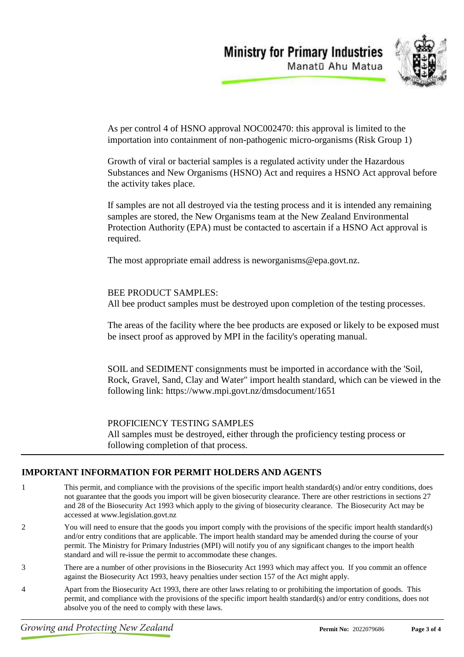



As per control 4 of HSNO approval NOC002470: this approval is limited to the importation into containment of non-pathogenic micro-organisms (Risk Group 1)

Growth of viral or bacterial samples is a regulated activity under the Hazardous Substances and New Organisms (HSNO) Act and requires a HSNO Act approval before the activity takes place.

If samples are not all destroyed via the testing process and it is intended any remaining samples are stored, the New Organisms team at the New Zealand Environmental Protection Authority (EPA) must be contacted to ascertain if a HSNO Act approval is required.

The most appropriate email address is neworganisms@epa.govt.nz.

BEE PRODUCT SAMPLES: All bee product samples must be destroyed upon completion of the testing processes.

The areas of the facility where the bee products are exposed or likely to be exposed must be insect proof as approved by MPI in the facility's operating manual.

SOIL and SEDIMENT consignments must be imported in accordance with the 'Soil, Rock, Gravel, Sand, Clay and Water" import health standard, which can be viewed in the following link: https://www.mpi.govt.nz/dmsdocument/1651

PROFICIENCY TESTING SAMPLES

All samples must be destroyed, either through the proficiency testing process or following completion of that process.

### **IMPORTANT INFORMATION FOR PERMIT HOLDERS AND AGENTS**

- 1 This permit, and compliance with the provisions of the specific import health standard(s) and/or entry conditions, does not guarantee that the goods you import will be given biosecurity clearance. There are other restrictions in sections 27 and 28 of the Biosecurity Act 1993 which apply to the giving of biosecurity clearance. The Biosecurity Act may be accessed at www.legislation.govt.nz
- 2 You will need to ensure that the goods you import comply with the provisions of the specific import health standard(s) and/or entry conditions that are applicable. The import health standard may be amended during the course of your permit. The Ministry for Primary Industries (MPI) will notify you of any significant changes to the import health standard and will re-issue the permit to accommodate these changes.
- 3 There are a number of other provisions in the Biosecurity Act 1993 which may affect you. If you commit an offence against the Biosecurity Act 1993, heavy penalties under section 157 of the Act might apply.
- 4 Apart from the Biosecurity Act 1993, there are other laws relating to or prohibiting the importation of goods. This permit, and compliance with the provisions of the specific import health standard(s) and/or entry conditions, does not absolve you of the need to comply with these laws.